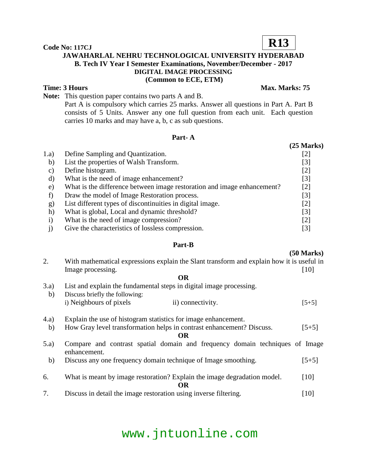### **JAWAHARLAL NEHRU TECHNOLOGICAL UNIVERSITY HYDERABAD B. Tech IV Year I Semester Examinations, November/December - 2017 DIGITAL IMAGE PROCESSING (Common to ECE, ETM)**

#### **Time: 3 Hours** Max. Marks: 75

**Note:** This question paper contains two parts A and B.

Part A is compulsory which carries 25 marks. Answer all questions in Part A. Part B consists of 5 Units. Answer any one full question from each unit. Each question carries 10 marks and may have a, b, c as sub questions.

#### **Part- A**

|          |                                                                         | (25 Miarks)       |
|----------|-------------------------------------------------------------------------|-------------------|
| 1.a)     | Define Sampling and Quantization.                                       | [2]               |
| b)       | List the properties of Walsh Transform.                                 | $[3]$             |
| C)       | Define histogram.                                                       | [2]               |
| d)       | What is the need of image enhancement?                                  | $\lceil 3 \rceil$ |
| e)       | What is the difference between image restoration and image enhancement? | $\lceil 2 \rceil$ |
|          | Draw the model of Image Restoration process.                            | [3]               |
| g)       | List different types of discontinuities in digital image.               | [2]               |
| $\hbar)$ | What is global, Local and dynamic threshold?                            | $\lceil 3 \rceil$ |
|          | What is the need of image compression?                                  | [2]               |
|          | Give the characteristics of lossless compression.                       | [3]               |

#### **Part-B**

#### **(50 Marks)**

| 2.    | With mathematical expressions explain the Slant transform and explain how it is useful in    |         |  |
|-------|----------------------------------------------------------------------------------------------|---------|--|
|       | Image processing.                                                                            | [10]    |  |
|       | <b>OR</b>                                                                                    |         |  |
| 3.a)  | List and explain the fundamental steps in digital image processing.                          |         |  |
| b)    | Discuss briefly the following:                                                               |         |  |
|       | i) Neighbours of pixels<br>ii) connectivity.                                                 | $[5+5]$ |  |
| (4.a) | Explain the use of histogram statistics for image enhancement.                               |         |  |
| b)    | How Gray level transformation helps in contrast enhancement? Discuss.                        | $[5+5]$ |  |
|       | OR.                                                                                          |         |  |
| (5.a) | Compare and contrast spatial domain and frequency domain techniques of Image<br>enhancement. |         |  |
| b)    | Discuss any one frequency domain technique of Image smoothing.                               | $[5+5]$ |  |
| 6.    | What is meant by image restoration? Explain the image degradation model.                     | [10]    |  |
|       | OR.                                                                                          |         |  |
| 7.    | Discuss in detail the image restoration using inverse filtering.                             | [10]    |  |

## www.jntuonline.com

**Code No: 117CJ**

## **R13**

#### $(25$  Morks)